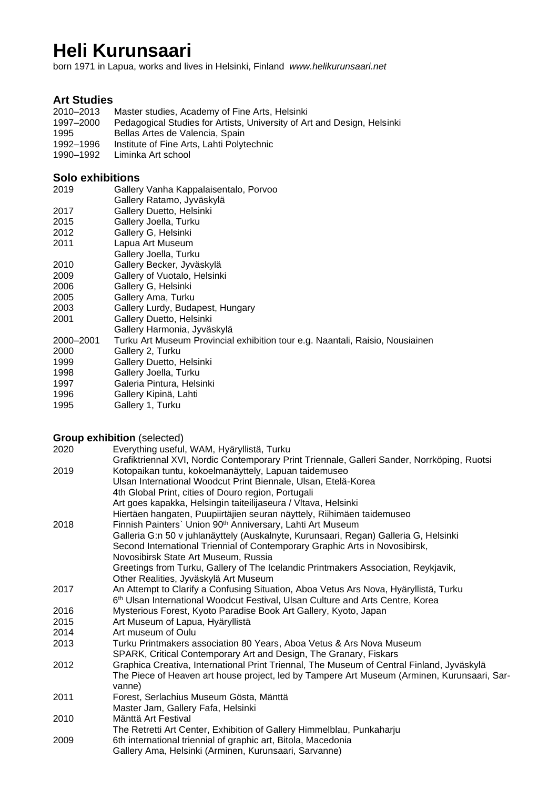# **Heli Kurunsaari**

born 1971 in Lapua, works and lives in Helsinki, Finland *www.helikurunsaari.net*

# **Art Studies**

2010–2013 Master studies, Academy of Fine Arts, Helsinki

- Pedagogical Studies for Artists, University of Art and Design, Helsinki 1995 Bellas Artes de Valencia, Spain
- 1992–1996 Institute of Fine Arts, Lahti Polytechnic
- 1990–1992 Liminka Art school

### **Solo exhibitions**

2019 Gallery Vanha Kappalaisentalo, Porvoo Gallery Ratamo, Jyväskylä 2017 Gallery Duetto, Helsinki<br>2015 Gallery Joella, Turku Gallery Joella, Turku 2012 Gallery G, Helsinki<br>2011 Lapua Art Museum Lapua Art Museum Gallery Joella, Turku 2010 Gallery Becker, Jyväskylä 2009 Gallery of Vuotalo, Helsinki 2006 Gallery G, Helsinki 2005 Gallery Ama, Turku 2003 Gallery Lurdy, Budapest, Hungary 2001 Gallery Duetto, Helsinki Gallery Harmonia, Jyväskylä 2000–2001 Turku Art Museum Provincial exhibition tour e.g. Naantali, Raisio, Nousiainen 2000 Gallery 2, Turku 1999 Gallery Duetto, Helsinki 1998 Gallery Joella, Turku 1997 Galeria Pintura, Helsinki 1996 Gallery Kipinä, Lahti 1995 Gallery 1, Turku

## **Group exhibition** (selected)

| 2020 | Everything useful, WAM, Hyäryllistä, Turku                                                  |
|------|---------------------------------------------------------------------------------------------|
|      | Grafiktriennal XVI, Nordic Contemporary Print Triennale, Galleri Sander, Norrköping, Ruotsi |
| 2019 | Kotopaikan tuntu, kokoelmanäyttely, Lapuan taidemuseo                                       |
|      | Ulsan International Woodcut Print Biennale, Ulsan, Etelä-Korea                              |
|      | 4th Global Print, cities of Douro region, Portugali                                         |
|      | Art goes kapakka, Helsingin taiteilijaseura / Vltava, Helsinki                              |
|      | Hiertäen hangaten, Puupiirtäjien seuran näyttely, Riihimäen taidemuseo                      |
| 2018 | Finnish Painters' Union 90 <sup>th</sup> Anniversary, Lahti Art Museum                      |
|      | Galleria G:n 50 v juhlanäyttely (Auskalnyte, Kurunsaari, Regan) Galleria G, Helsinki        |
|      | Second International Triennial of Contemporary Graphic Arts in Novosibirsk,                 |
|      | Novosibirsk State Art Museum, Russia                                                        |
|      | Greetings from Turku, Gallery of The Icelandic Printmakers Association, Reykjavik,          |
|      | Other Realities, Jyväskylä Art Museum                                                       |
| 2017 | An Attempt to Clarify a Confusing Situation, Aboa Vetus Ars Nova, Hyäryllistä, Turku        |
|      | 6 <sup>th</sup> Ulsan International Woodcut Festival, Ulsan Culture and Arts Centre, Korea  |
| 2016 | Mysterious Forest, Kyoto Paradise Book Art Gallery, Kyoto, Japan                            |
| 2015 | Art Museum of Lapua, Hyäryllistä                                                            |
| 2014 | Art museum of Oulu                                                                          |
| 2013 | Turku Printmakers association 80 Years, Aboa Vetus & Ars Nova Museum                        |
|      | SPARK, Critical Contemporary Art and Design, The Granary, Fiskars                           |
| 2012 | Graphica Creativa, International Print Triennal, The Museum of Central Finland, Jyväskylä   |
|      | The Piece of Heaven art house project, led by Tampere Art Museum (Arminen, Kurunsaari, Sar- |
|      | vanne)                                                                                      |
| 2011 | Forest, Serlachius Museum Gösta, Mänttä                                                     |
|      | Master Jam, Gallery Fafa, Helsinki                                                          |
| 2010 | Mänttä Art Festival                                                                         |
|      | The Retretti Art Center, Exhibition of Gallery Himmelblau, Punkaharju                       |
| 2009 | 6th international triennial of graphic art, Bitola, Macedonia                               |
|      | Gallery Ama, Helsinki (Arminen, Kurunsaari, Sarvanne)                                       |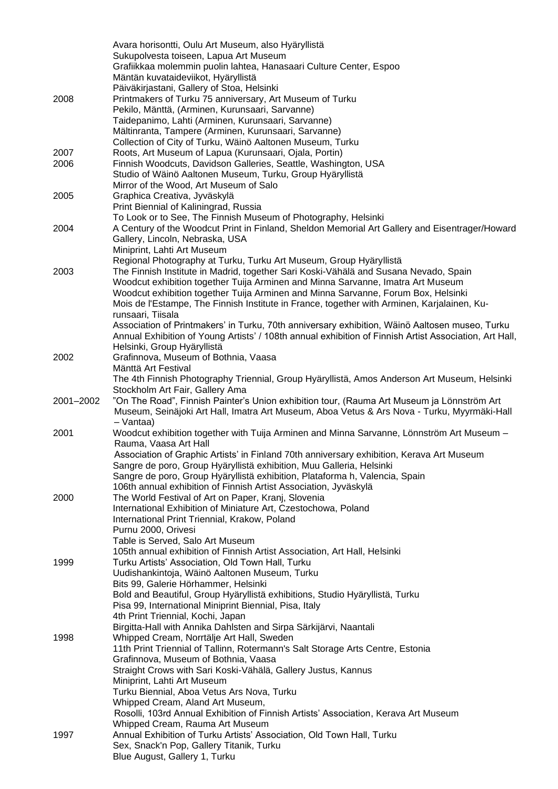|           | Avara horisontti, Oulu Art Museum, also Hyäryllistä                                                                     |
|-----------|-------------------------------------------------------------------------------------------------------------------------|
|           | Sukupolvesta toiseen, Lapua Art Museum                                                                                  |
|           | Grafiikkaa molemmin puolin lahtea, Hanasaari Culture Center, Espoo                                                      |
|           | Mäntän kuvataideviikot, Hyäryllistä                                                                                     |
|           | Päiväkirjastani, Gallery of Stoa, Helsinki                                                                              |
| 2008      | Printmakers of Turku 75 anniversary, Art Museum of Turku                                                                |
|           | Pekilo, Mänttä, (Arminen, Kurunsaari, Sarvanne)                                                                         |
|           | Taidepanimo, Lahti (Arminen, Kurunsaari, Sarvanne)                                                                      |
|           | Mältinranta, Tampere (Arminen, Kurunsaari, Sarvanne)                                                                    |
| 2007      | Collection of City of Turku, Wäinö Aaltonen Museum, Turku<br>Roots, Art Museum of Lapua (Kurunsaari, Ojala, Portin)     |
| 2006      | Finnish Woodcuts, Davidson Galleries, Seattle, Washington, USA                                                          |
|           | Studio of Wäinö Aaltonen Museum, Turku, Group Hyäryllistä                                                               |
|           | Mirror of the Wood, Art Museum of Salo                                                                                  |
| 2005      | Graphica Creativa, Jyväskylä                                                                                            |
|           | Print Biennial of Kaliningrad, Russia                                                                                   |
|           | To Look or to See, The Finnish Museum of Photography, Helsinki                                                          |
| 2004      | A Century of the Woodcut Print in Finland, Sheldon Memorial Art Gallery and Eisentrager/Howard                          |
|           | Gallery, Lincoln, Nebraska, USA                                                                                         |
|           | Miniprint, Lahti Art Museum                                                                                             |
|           | Regional Photography at Turku, Turku Art Museum, Group Hyäryllistä                                                      |
| 2003      | The Finnish Institute in Madrid, together Sari Koski-Vähälä and Susana Nevado, Spain                                    |
|           | Woodcut exhibition together Tuija Arminen and Minna Sarvanne, Imatra Art Museum                                         |
|           | Woodcut exhibition together Tuija Arminen and Minna Sarvanne, Forum Box, Helsinki                                       |
|           | Mois de l'Estampe, The Finnish Institute in France, together with Arminen, Karjalainen, Ku-                             |
|           | runsaari, Tiisala                                                                                                       |
|           | Association of Printmakers' in Turku, 70th anniversary exhibition, Wäinö Aaltosen museo, Turku                          |
|           | Annual Exhibition of Young Artists' / 108th annual exhibition of Finnish Artist Association, Art Hall,                  |
| 2002      | Helsinki, Group Hyäryllistä<br>Grafinnova, Museum of Bothnia, Vaasa                                                     |
|           | Mänttä Art Festival                                                                                                     |
|           | The 4th Finnish Photography Triennial, Group Hyäryllistä, Amos Anderson Art Museum, Helsinki                            |
|           | Stockholm Art Fair, Gallery Ama                                                                                         |
| 2001-2002 | "On The Road", Finnish Painter's Union exhibition tour, (Rauma Art Museum ja Lönnström Art                              |
|           | Museum, Seinäjoki Art Hall, Imatra Art Museum, Aboa Vetus & Ars Nova - Turku, Myyrmäki-Hall                             |
|           | - Vantaa)                                                                                                               |
| 2001      | Woodcut exhibition together with Tuija Arminen and Minna Sarvanne, Lönnström Art Museum -                               |
|           | Rauma, Vaasa Art Hall                                                                                                   |
|           | Association of Graphic Artists' in Finland 70th anniversary exhibition, Kerava Art Museum                               |
|           | Sangre de poro, Group Hyäryllistä exhibition, Muu Galleria, Helsinki                                                    |
|           | Sangre de poro, Group Hyäryllistä exhibition, Plataforma h, Valencia, Spain                                             |
|           | 106th annual exhibition of Finnish Artist Association, Jyväskylä                                                        |
| 2000      | The World Festival of Art on Paper, Kranj, Slovenia                                                                     |
|           | International Exhibition of Miniature Art, Czestochowa, Poland                                                          |
|           | International Print Triennial, Krakow, Poland<br>Purnu 2000, Orivesi                                                    |
|           | Table is Served, Salo Art Museum                                                                                        |
|           | 105th annual exhibition of Finnish Artist Association, Art Hall, Helsinki                                               |
| 1999      | Turku Artists' Association, Old Town Hall, Turku                                                                        |
|           | Uudishankintoja, Wäinö Aaltonen Museum, Turku                                                                           |
|           | Bits 99, Galerie Hörhammer, Helsinki                                                                                    |
|           | Bold and Beautiful, Group Hyäryllistä exhibitions, Studio Hyäryllistä, Turku                                            |
|           | Pisa 99, International Miniprint Biennial, Pisa, Italy                                                                  |
|           | 4th Print Triennial, Kochi, Japan                                                                                       |
|           | Birgitta-Hall with Annika Dahlsten and Sirpa Särkijärvi, Naantali                                                       |
| 1998      | Whipped Cream, Norrtälje Art Hall, Sweden                                                                               |
|           | 11th Print Triennial of Tallinn, Rotermann's Salt Storage Arts Centre, Estonia                                          |
|           | Grafinnova, Museum of Bothnia, Vaasa                                                                                    |
|           | Straight Crows with Sari Koski-Vähälä, Gallery Justus, Kannus                                                           |
|           | Miniprint, Lahti Art Museum                                                                                             |
|           | Turku Biennial, Aboa Vetus Ars Nova, Turku                                                                              |
|           | Whipped Cream, Aland Art Museum,<br>Rosolli, 103rd Annual Exhibition of Finnish Artists' Association, Kerava Art Museum |
|           | Whipped Cream, Rauma Art Museum                                                                                         |
| 1997      | Annual Exhibition of Turku Artists' Association, Old Town Hall, Turku                                                   |
|           | Sex, Snack'n Pop, Gallery Titanik, Turku                                                                                |
|           | Blue August, Gallery 1, Turku                                                                                           |
|           |                                                                                                                         |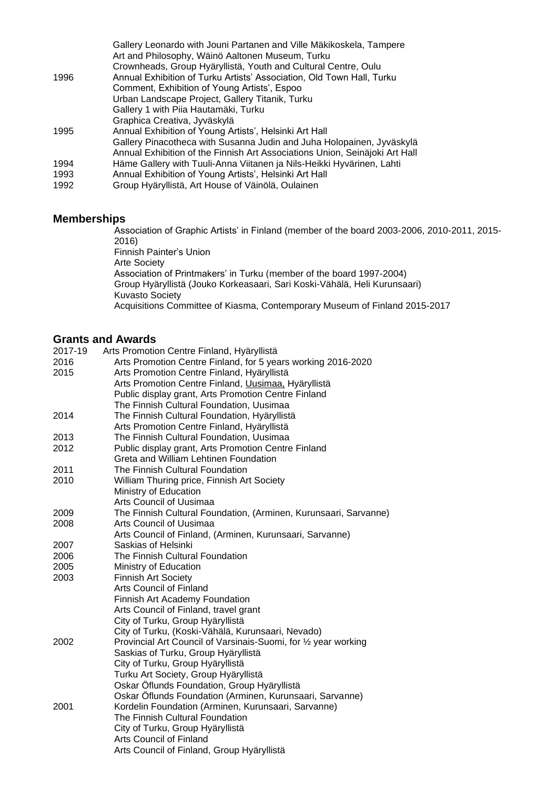|      | Gallery Leonardo with Jouni Partanen and Ville Mäkikoskela, Tampere<br>Art and Philosophy, Wäinö Aaltonen Museum, Turku |
|------|-------------------------------------------------------------------------------------------------------------------------|
|      | Crownheads, Group Hyäryllistä, Youth and Cultural Centre, Oulu                                                          |
| 1996 | Annual Exhibition of Turku Artists' Association, Old Town Hall, Turku                                                   |
|      | Comment, Exhibition of Young Artists', Espoo                                                                            |
|      | Urban Landscape Project, Gallery Titanik, Turku                                                                         |
|      | Gallery 1 with Piia Hautamäki, Turku                                                                                    |
|      | Graphica Creativa, Jyväskylä                                                                                            |
| 1995 | Annual Exhibition of Young Artists', Helsinki Art Hall                                                                  |
|      | Gallery Pinacotheca with Susanna Judin and Juha Holopainen, Jyväskylä                                                   |
|      | Annual Exhibition of the Finnish Art Associations Union, Seinäjoki Art Hall                                             |
| 1994 | Häme Gallery with Tuuli-Anna Viitanen ja Nils-Heikki Hyvärinen, Lahti                                                   |
| 1993 | Annual Exhibition of Young Artists', Helsinki Art Hall                                                                  |
| 1992 | Group Hyäryllistä, Art House of Väinölä, Oulainen                                                                       |
|      |                                                                                                                         |

#### **Memberships**

Association of Graphic Artists' in Finland (member of the board 2003-2006, 2010-2011, 2015- 2016) Finnish Painter's Union Arte Society Association of Printmakers' in Turku (member of the board 1997-2004) Group Hyäryllistä (Jouko Korkeasaari, Sari Koski-Vähälä, Heli Kurunsaari) Kuvasto Society Acquisitions Committee of Kiasma, Contemporary Museum of Finland 2015-2017

## **Grants and Awards**

| 2017-19 | Arts Promotion Centre Finland, Hyäryllistä                       |
|---------|------------------------------------------------------------------|
| 2016    | Arts Promotion Centre Finland, for 5 years working 2016-2020     |
| 2015    | Arts Promotion Centre Finland, Hyäryllistä                       |
|         | Arts Promotion Centre Finland, Uusimaa, Hyäryllistä              |
|         | Public display grant, Arts Promotion Centre Finland              |
|         | The Finnish Cultural Foundation, Uusimaa                         |
| 2014    | The Finnish Cultural Foundation, Hyäryllistä                     |
|         | Arts Promotion Centre Finland, Hyäryllistä                       |
| 2013    | The Finnish Cultural Foundation, Uusimaa                         |
| 2012    | Public display grant, Arts Promotion Centre Finland              |
|         | Greta and William Lehtinen Foundation                            |
| 2011    | The Finnish Cultural Foundation                                  |
| 2010    | William Thuring price, Finnish Art Society                       |
|         | Ministry of Education                                            |
|         | Arts Council of Uusimaa                                          |
| 2009    | The Finnish Cultural Foundation, (Arminen, Kurunsaari, Sarvanne) |
| 2008    | Arts Council of Uusimaa                                          |
|         | Arts Council of Finland, (Arminen, Kurunsaari, Sarvanne)         |
| 2007    | Saskias of Helsinki                                              |
| 2006    | The Finnish Cultural Foundation                                  |
| 2005    | Ministry of Education                                            |
| 2003    | <b>Finnish Art Society</b>                                       |
|         | <b>Arts Council of Finland</b>                                   |
|         | Finnish Art Academy Foundation                                   |
|         | Arts Council of Finland, travel grant                            |
|         | City of Turku, Group Hyäryllistä                                 |
|         | City of Turku, (Koski-Vähälä, Kurunsaari, Nevado)                |
| 2002    | Provincial Art Council of Varsinais-Suomi, for 1/2 year working  |
|         | Saskias of Turku, Group Hyäryllistä                              |
|         | City of Turku, Group Hyäryllistä                                 |
|         | Turku Art Society, Group Hyäryllistä                             |
|         | Oskar Öflunds Foundation, Group Hyäryllistä                      |
|         | Oskar Öflunds Foundation (Arminen, Kurunsaari, Sarvanne)         |
| 2001    | Kordelin Foundation (Arminen, Kurunsaari, Sarvanne)              |
|         | The Finnish Cultural Foundation                                  |
|         | City of Turku, Group Hyäryllistä                                 |
|         | <b>Arts Council of Finland</b>                                   |
|         | Arts Council of Finland, Group Hyäryllistä                       |